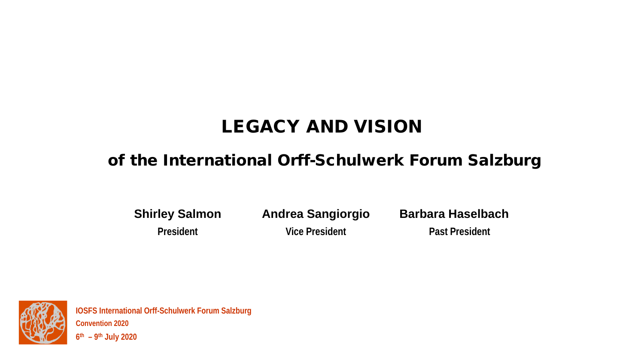# LEGACY AND VISION

### of the International Orff-Schulwerk Forum Salzburg

**Shirley Salmon**

**President**

**Andrea Sangiorgio Vice President**

**Barbara Haselbach**

**Past President**



**IOSFS International Orff-Schulwerk Forum Salzburg Convention 2020 6th – 9th July 2020**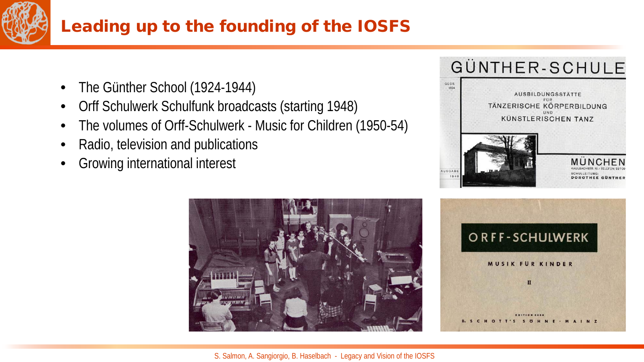

# Leading up to the founding of the IOSFS

- The Günther School (1924-1944)
- Orff Schulwerk Schulfunk broadcasts (starting 1948)
- The volumes of Orff-Schulwerk Music for Children (1950-54)
- Radio, television and publications
- Growing international interest







S. Salmon, A. Sangiorgio, B. Haselbach - Legacy and Vision of the IOSFS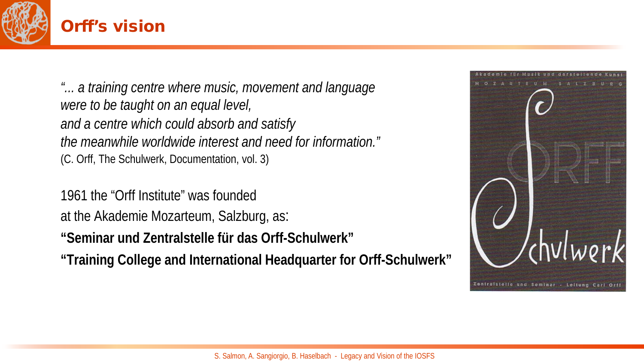

#### Orff's vision

*"... a training centre where music, movement and language were to be taught on an equal level, and a centre which could absorb and satisfy the meanwhile worldwide interest and need for information."* (C. Orff, The Schulwerk, Documentation, vol. 3)

1961 the "Orff Institute" was founded at the Akademie Mozarteum, Salzburg, as:

**"Seminar und Zentralstelle für das Orff-Schulwerk"**

**"Training College and International Headquarter for Orff-Schulwerk"**

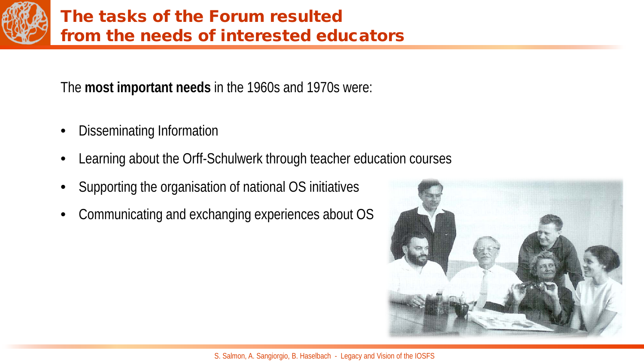

## The tasks of the Forum resulted from the needs of interested educators

The **most important needs** in the 1960s and 1970s were:

- Disseminating Information
- Learning about the Orff-Schulwerk through teacher education courses
- Supporting the organisation of national OS initiatives
- Communicating and exchanging experiences about OS

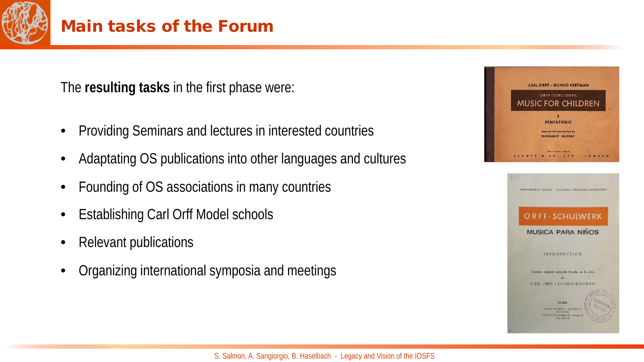

The **resulting tasks** in the first phase were:

- Providing Seminars and lectures in interested countries
- Adaptating OS publications into other languages and cultures
- Founding of OS associations in many countries
- Establishing Carl Orff Model schools
- Relevant publications
- Organizing international symposia and meetings



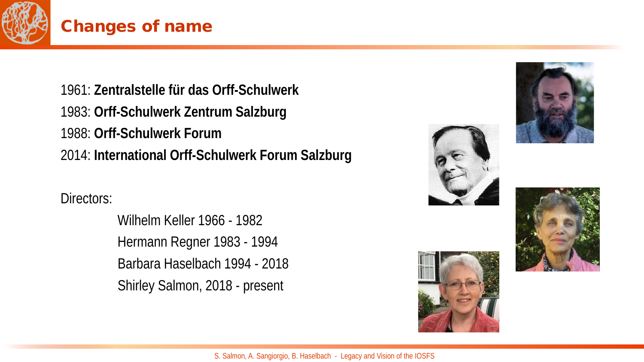

#### Changes of name

1961: **Zentralstelle für das Orff-Schulwerk** 1983: **Orff-Schulwerk Zentrum Salzburg** 1988: **Orff-Schulwerk Forum** 2014: **International Orff-Schulwerk Forum Salzburg**

Directors:

Wilhelm Keller 1966 - 1982 Hermann Regner 1983 - 1994 Barbara Haselbach 1994 - 2018 Shirley Salmon, 2018 - present







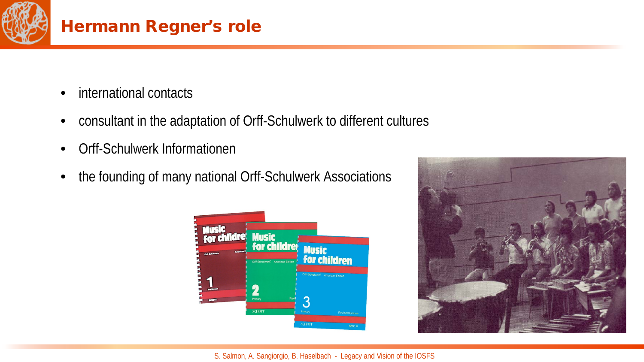

## Hermann Regner's role

- international contacts
- consultant in the adaptation of Orff-Schulwerk to different cultures
- Orff-Schulwerk Informationen
- the founding of many national Orff-Schulwerk Associations



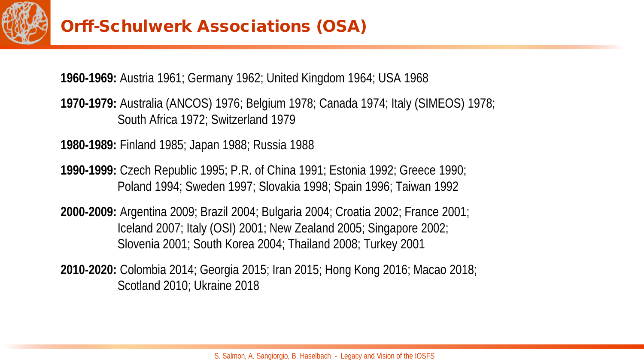

## Orff-Schulwerk Associations (OSA)

**1960-1969:** Austria 1961; Germany 1962; United Kingdom 1964; USA 1968

**1970-1979:** Australia (ANCOS) 1976; Belgium 1978; Canada 1974; Italy (SIMEOS) 1978; South Africa 1972; Switzerland 1979

**1980-1989:** Finland 1985; Japan 1988; Russia 1988

**1990-1999:** Czech Republic 1995; P.R. of China 1991; Estonia 1992; Greece 1990; Poland 1994; Sweden 1997; Slovakia 1998; Spain 1996; Taiwan 1992

**2000-2009:** Argentina 2009; Brazil 2004; Bulgaria 2004; Croatia 2002; France 2001; Iceland 2007; Italy (OSI) 2001; New Zealand 2005; Singapore 2002; Slovenia 2001; South Korea 2004; Thailand 2008; Turkey 2001

**2010-2020:** Colombia 2014; Georgia 2015; Iran 2015; Hong Kong 2016; Macao 2018; Scotland 2010; Ukraine 2018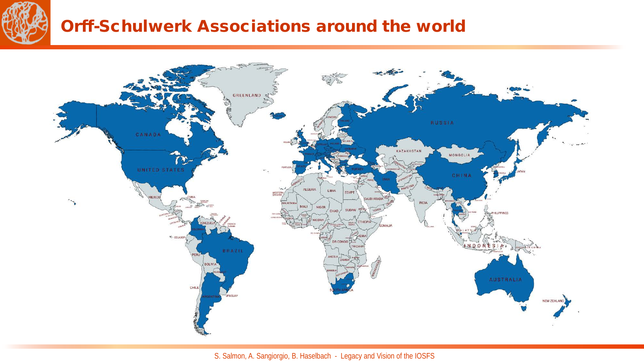

## Orff-Schulwerk Associations around the world



S. Salmon, A. Sangiorgio, B. Haselbach - Legacy and Vision of the IOSFS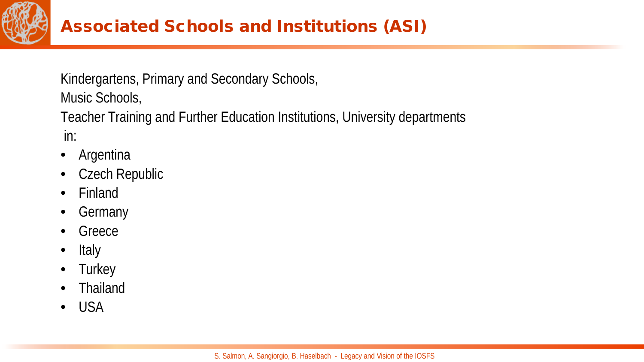

## Associated Schools and Institutions (ASI)

Kindergartens, Primary and Secondary Schools, Music Schools,

Teacher Training and Further Education Institutions, University departments in:

- **Argentina**
- Czech Republic
- Finland
- Germany
- Greece
- Italy
- Turkey
- Thailand
- USA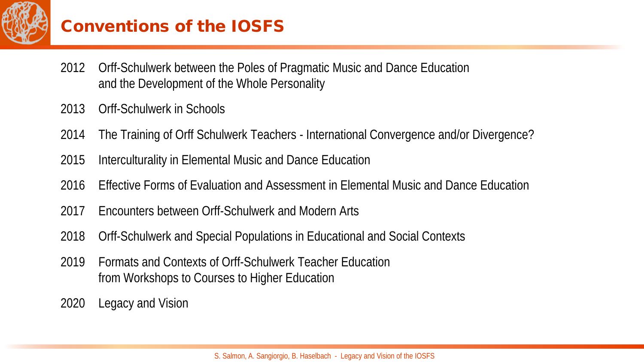

## Conventions of the IOSFS

- 2012 Orff-Schulwerk between the Poles of Pragmatic Music and Dance Education and the Development of the Whole Personality
- 2013 Orff-Schulwerk in Schools
- 2014 The Training of Orff Schulwerk Teachers International Convergence and/or Divergence?
- 2015 Interculturality in Elemental Music and Dance Education
- 2016 Effective Forms of Evaluation and Assessment in Elemental Music and Dance Education
- 2017 Encounters between Orff-Schulwerk and Modern Arts
- 2018 Orff-Schulwerk and Special Populations in Educational and Social Contexts
- 2019 Formats and Contexts of Orff-Schulwerk Teacher Education from Workshops to Courses to Higher Education
- 2020 Legacy and Vision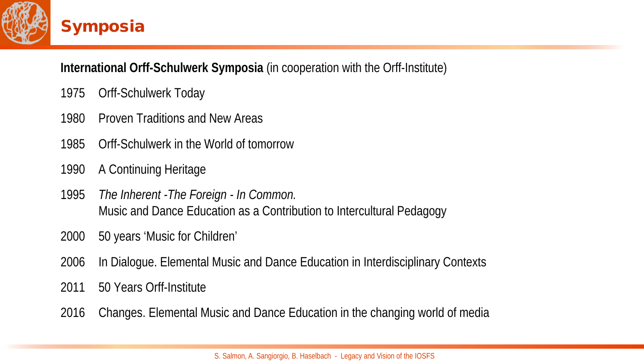

#### **International Orff-Schulwerk Symposia** (in cooperation with the Orff-Institute)

- Orff-Schulwerk Today
- 1980 Proven Traditions and New Areas
- Orff-Schulwerk in the World of tomorrow
- A Continuing Heritage
- *The Inherent -The Foreign - In Common.*  Music and Dance Education as a Contribution to Intercultural Pedagogy
- 50 years 'Music for Children'
- In Dialogue. Elemental Music and Dance Education in Interdisciplinary Contexts
- 50 Years Orff-Institute
- Changes. Elemental Music and Dance Education in the changing world of media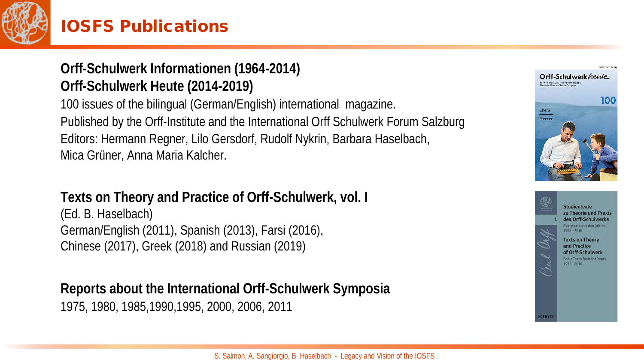

## IOSFS Publications

#### **Orff-Schulwerk Informationen (1964-2014) Orff-Schulwerk Heute (2014-2019)**

100 issues of the bilingual (German/English) international magazine. Published by the Orff-Institute and the International Orff Schulwerk Forum Salzburg Editors: Hermann Regner, Lilo Gersdorf, Rudolf Nykrin, Barbara Haselbach, Mica Grüner, Anna Maria Kalcher.

#### **Texts on Theory and Practice of Orff-Schulwerk, vol. I**

(Ed. B. Haselbach) German/English (2011), Spanish (2013), Farsi (2016), Chinese (2017), Greek (2018) and Russian (2019)

### **Reports about the International Orff-Schulwerk Symposia**

1975, 1980, 1985,1990,1995, 2000, 2006, 2011



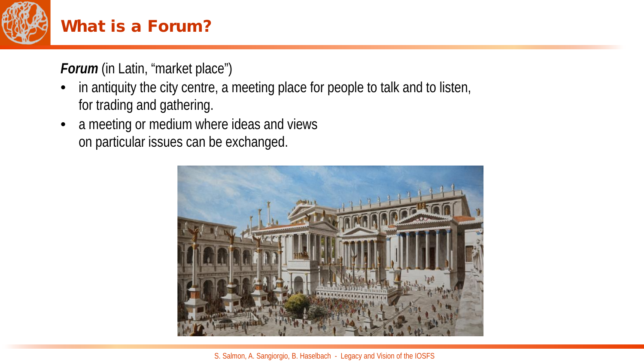

## What is a Forum?

*Forum* (in Latin, "market place")

- in antiquity the city centre, a meeting place for people to talk and to listen, for trading and gathering.
- a meeting or medium where ideas and views on particular issues can be exchanged.



S. Salmon, A. Sangiorgio, B. Haselbach - Legacy and Vision of the IOSFS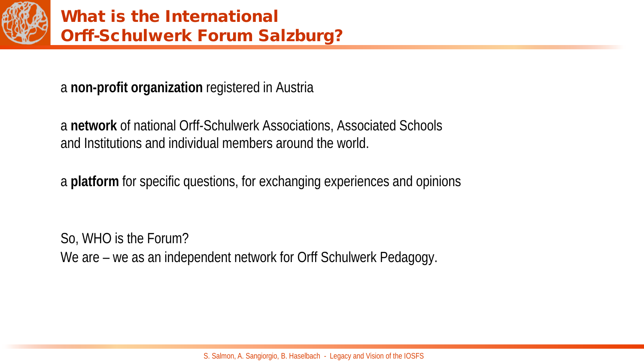

a **non-profit organization** registered in Austria

a **network** of national Orff-Schulwerk Associations, Associated Schools and Institutions and individual members around the world.

a **platform** for specific questions, for exchanging experiences and opinions

So, WHO is the Forum? We are – we as an independent network for Orff Schulwerk Pedagogy.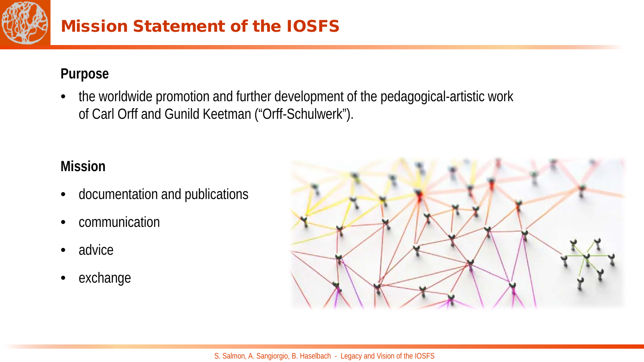

## Mission Statement of the IOSFS

#### **Purpose**

• the worldwide promotion and further development of the pedagogical-artistic work of Carl Orff and Gunild Keetman ("Orff-Schulwerk").

#### **Mission**

- documentation and publications
- communication
- advice
- exchange

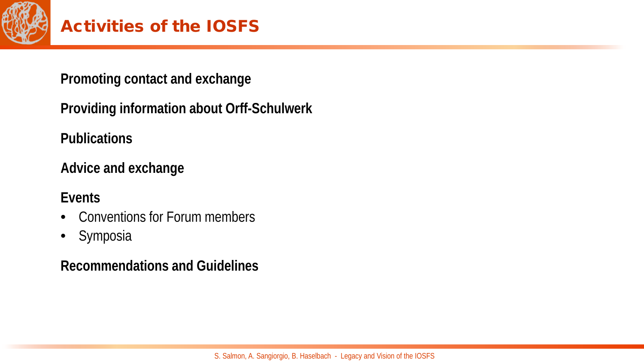

## Activities of the IOSFS

**Promoting contact and exchange** 

**Providing information about Orff-Schulwerk**

**Publications**

**Advice and exchange** 

**Events** 

- Conventions for Forum members
- Symposia

**Recommendations and Guidelines**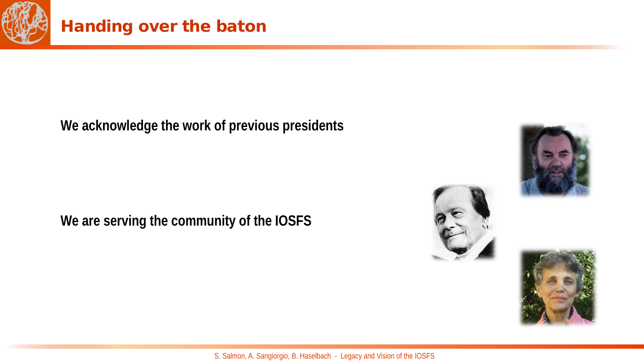

## Handing over the baton

**We acknowledge the work of previous presidents**

**We are serving the community of the IOSFS**





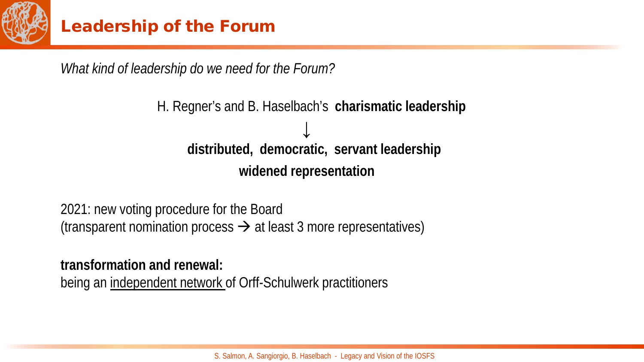

*What kind of leadership do we need for the Forum?*

## H. Regner's and B. Haselbach's **charismatic leadership ↓ distributed, democratic, servant leadership widened representation**

2021: new voting procedure for the Board (transparent nomination process  $\rightarrow$  at least 3 more representatives)

**transformation and renewal:**  being an independent network of Orff-Schulwerk practitioners